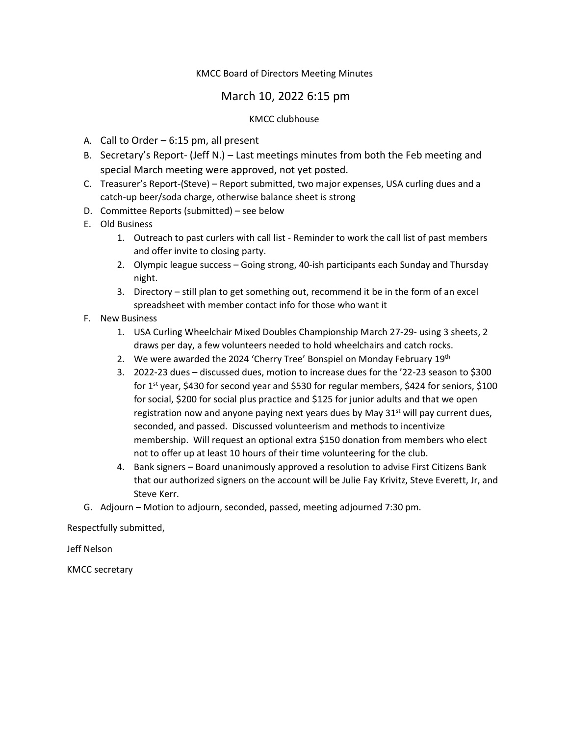## KMCC Board of Directors Meeting Minutes

# March 10, 2022 6:15 pm

### KMCC clubhouse

- A. Call to Order 6:15 pm, all present
- B. Secretary's Report- (Jeff N.) Last meetings minutes from both the Feb meeting and special March meeting were approved, not yet posted.
- C. Treasurer's Report-(Steve) Report submitted, two major expenses, USA curling dues and a catch-up beer/soda charge, otherwise balance sheet is strong
- D. Committee Reports (submitted) see below
- E. Old Business
	- 1. Outreach to past curlers with call list Reminder to work the call list of past members and offer invite to closing party.
	- 2. Olympic league success Going strong, 40-ish participants each Sunday and Thursday night.
	- 3. Directory still plan to get something out, recommend it be in the form of an excel spreadsheet with member contact info for those who want it
- F. New Business
	- 1. USA Curling Wheelchair Mixed Doubles Championship March 27-29- using 3 sheets, 2 draws per day, a few volunteers needed to hold wheelchairs and catch rocks.
	- 2. We were awarded the 2024 'Cherry Tree' Bonspiel on Monday February 19th
	- 3. 2022-23 dues discussed dues, motion to increase dues for the '22-23 season to \$300 for 1st year, \$430 for second year and \$530 for regular members, \$424 for seniors, \$100 for social, \$200 for social plus practice and \$125 for junior adults and that we open registration now and anyone paying next years dues by May  $31<sup>st</sup>$  will pay current dues, seconded, and passed. Discussed volunteerism and methods to incentivize membership. Will request an optional extra \$150 donation from members who elect not to offer up at least 10 hours of their time volunteering for the club.
	- 4. Bank signers Board unanimously approved a resolution to advise First Citizens Bank that our authorized signers on the account will be Julie Fay Krivitz, Steve Everett, Jr, and Steve Kerr.
- G. Adjourn Motion to adjourn, seconded, passed, meeting adjourned 7:30 pm.

Respectfully submitted,

Jeff Nelson

KMCC secretary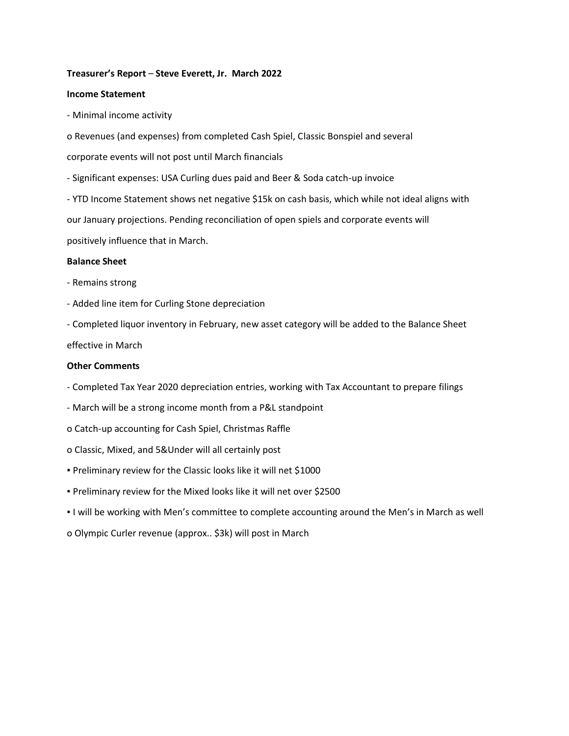#### **Treasurer's Report** – **Steve Everett, Jr. March 2022**

#### **Income Statement**

- Minimal income activity

o Revenues (and expenses) from completed Cash Spiel, Classic Bonspiel and several

corporate events will not post until March financials

- Significant expenses: USA Curling dues paid and Beer & Soda catch-up invoice

- YTD Income Statement shows net negative \$15k on cash basis, which while not ideal aligns with

our January projections. Pending reconciliation of open spiels and corporate events will

positively influence that in March.

#### **Balance Sheet**

- Remains strong
- Added line item for Curling Stone depreciation
- Completed liquor inventory in February, new asset category will be added to the Balance Sheet
- effective in March

#### **Other Comments**

- Completed Tax Year 2020 depreciation entries, working with Tax Accountant to prepare filings
- March will be a strong income month from a P&L standpoint
- o Catch-up accounting for Cash Spiel, Christmas Raffle
- o Classic, Mixed, and 5&Under will all certainly post
- Preliminary review for the Classic looks like it will net \$1000
- Preliminary review for the Mixed looks like it will net over \$2500
- I will be working with Men's committee to complete accounting around the Men's in March as well
- o Olympic Curler revenue (approx.. \$3k) will post in March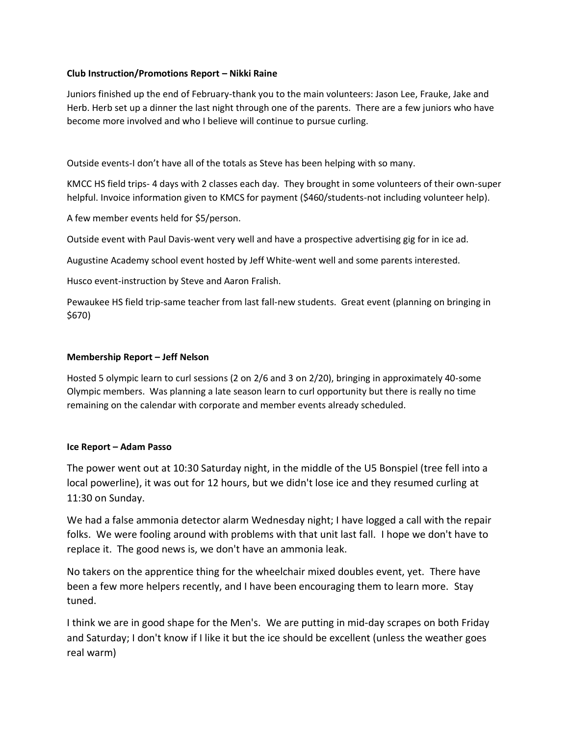## **Club Instruction/Promotions Report – Nikki Raine**

Juniors finished up the end of February-thank you to the main volunteers: Jason Lee, Frauke, Jake and Herb. Herb set up a dinner the last night through one of the parents. There are a few juniors who have become more involved and who I believe will continue to pursue curling.

Outside events-I don't have all of the totals as Steve has been helping with so many.

KMCC HS field trips- 4 days with 2 classes each day. They brought in some volunteers of their own-super helpful. Invoice information given to KMCS for payment (\$460/students-not including volunteer help).

A few member events held for \$5/person.

Outside event with Paul Davis-went very well and have a prospective advertising gig for in ice ad.

Augustine Academy school event hosted by Jeff White-went well and some parents interested.

Husco event-instruction by Steve and Aaron Fralish.

Pewaukee HS field trip-same teacher from last fall-new students. Great event (planning on bringing in \$670)

#### **Membership Report – Jeff Nelson**

Hosted 5 olympic learn to curl sessions (2 on 2/6 and 3 on 2/20), bringing in approximately 40-some Olympic members. Was planning a late season learn to curl opportunity but there is really no time remaining on the calendar with corporate and member events already scheduled.

#### **Ice Report – Adam Passo**

The power went out at 10:30 Saturday night, in the middle of the U5 Bonspiel (tree fell into a local powerline), it was out for 12 hours, but we didn't lose ice and they resumed curling at 11:30 on Sunday.

We had a false ammonia detector alarm Wednesday night; I have logged a call with the repair folks. We were fooling around with problems with that unit last fall. I hope we don't have to replace it. The good news is, we don't have an ammonia leak.

No takers on the apprentice thing for the wheelchair mixed doubles event, yet. There have been a few more helpers recently, and I have been encouraging them to learn more. Stay tuned.

I think we are in good shape for the Men's. We are putting in mid-day scrapes on both Friday and Saturday; I don't know if I like it but the ice should be excellent (unless the weather goes real warm)